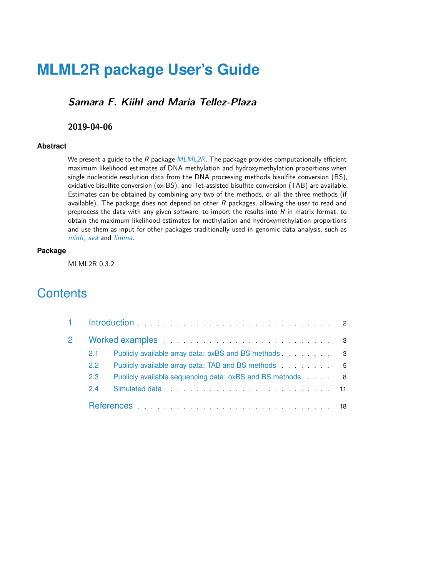# **MLML2R package User's Guide**

### **Samara F. Kiihl and Maria Tellez-Plaza**

#### **2019-04-06**

#### **Abstract**

We present a guide to the  $R$  package  $MLML2R$ . The package provides computationally efficient maximum likelihood estimates of DNA methylation and hydroxymethylation proportions when single nucleotide resolution data from the DNA processing methods bisulfite conversion (BS), oxidative bisulfite conversion (ox-BS), and Tet-assisted bisulfite conversion (TAB) are available. Estimates can be obtained by combining any two of the methods, or all the three methods (if available). The package does not depend on other  $R$  packages, allowing the user to read and preprocess the data with any given software, to import the results into  $R$  in matrix format, to obtain the maximum likelihood estimates for methylation and hydroxymethylation proportions and use them as input for other packages traditionally used in genomic data analysis, such as [minfi](http://bioconductor.org/packages/minfi), [sva](http://bioconductor.org/packages/sva) and [limma](http://bioconductor.org/packages/limma).

#### **Package**

MLML2R 0.3.2

# **Contents**

| 2.1           | Publicly available array data: oxBS and BS methods 3       |  |
|---------------|------------------------------------------------------------|--|
| $2.2^{\circ}$ | Publicly available array data: TAB and BS methods 5        |  |
| 2.3           | Publicly available sequencing data: oxBS and BS methods. 8 |  |
| 2.4           |                                                            |  |
|               |                                                            |  |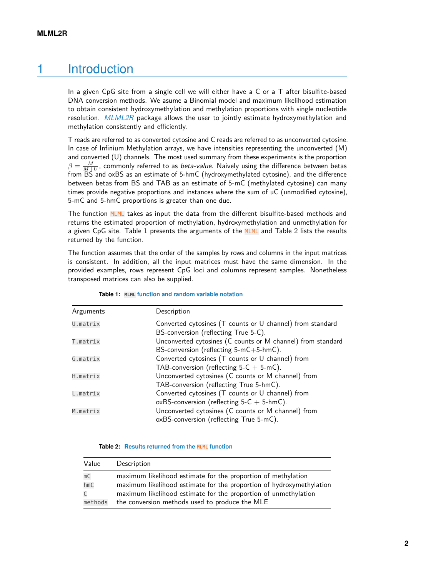# 1 Introduction

<span id="page-1-0"></span>In a given CpG site from a single cell we will either have a C or a T after bisulfite-based DNA conversion methods. We asume a Binomial model and maximum likelihood estimation to obtain consistent hydroxymethylation and methylation proportions with single nucleotide resolution. [MLML2R](https://CRAN.R-project.org/package=MLML2R) package allows the user to jointly estimate hydroxymethylation and methylation consistently and efficiently.

T reads are referred to as converted cytosine and C reads are referred to as unconverted cytosine. In case of Infinium Methylation arrays, we have intensities representing the unconverted (M) and converted (U) channels. The most used summary from these experiments is the proportion  $\beta = \frac{M}{M+U}$ , commonly referred to as *beta-value*. Naively using the difference between betas from BS and oxBS as an estimate of 5-hmC (hydroxymethylated cytosine), and the difference between betas from BS and TAB as an estimate of 5-mC (methylated cytosine) can many times provide negative proportions and instances where the sum of uC (unmodified cytosine), 5-mC and 5-hmC proportions is greater than one due.

The function MLML takes as input the data from the different bisulfite-based methods and returns the estimated proportion of methylation, hydroxymethylation and unmethylation for a given CpG site. Table 1 presents the arguments of the MLML and Table 2 lists the results returned by the function.

The function assumes that the order of the samples by rows and columns in the input matrices is consistent. In addition, all the input matrices must have the same dimension. In the provided examples, rows represent CpG loci and columns represent samples. Nonetheless transposed matrices can also be supplied.

| Arguments | Description                                                 |
|-----------|-------------------------------------------------------------|
| U.matrix  | Converted cytosines (T counts or U channel) from standard   |
|           | BS-conversion (reflecting True 5-C).                        |
| T.matrix  | Unconverted cytosines (C counts or M channel) from standard |
|           | BS-conversion (reflecting 5-mC+5-hmC).                      |
| G.matrix  | Converted cytosines (T counts or U channel) from            |
|           | TAB-conversion (reflecting $5-C + 5$ -mC).                  |
| H.matrix  | Unconverted cytosines (C counts or M channel) from          |
|           | TAB-conversion (reflecting True 5-hmC).                     |
| L.matrix  | Converted cytosines (T counts or U channel) from            |
|           | oxBS-conversion (reflecting $5-C + 5$ -hmC).                |
| M.matrix  | Unconverted cytosines (C counts or M channel) from          |
|           | oxBS-conversion (reflecting True 5-mC).                     |

| <b>Table 1:</b> MLML function and random variable notation |  |  |
|------------------------------------------------------------|--|--|
|------------------------------------------------------------|--|--|

#### **Table 2: Results returned from the MLML function**

<span id="page-1-1"></span>

| Value   | Description                                                          |
|---------|----------------------------------------------------------------------|
| mC      | maximum likelihood estimate for the proportion of methylation        |
| hmC     | maximum likelihood estimate for the proportion of hydroxymethylation |
| C       | maximum likelihood estimate for the proportion of unmethylation      |
| methods | the conversion methods used to produce the MLE                       |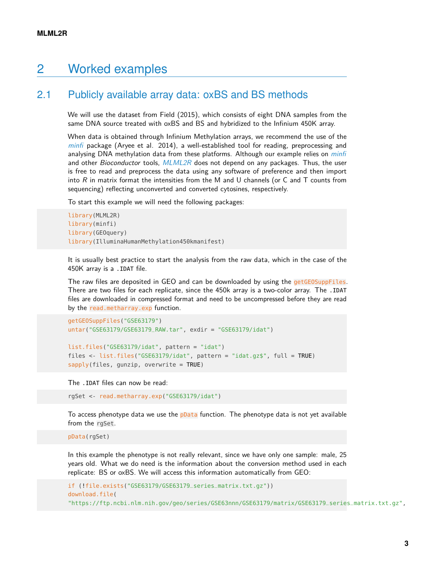## 2 Worked examples

### 2.1 Publicly available array data: oxBS and BS methods

<span id="page-2-0"></span>We will use the dataset from Field (2015), which consists of eight DNA samples from the same DNA source treated with  $\alpha$ SS and BS and hybridized to the Infinium 450K array.

When data is obtained through Infinium Methylation arrays, we recommend the use of the [minfi](http://bioconductor.org/packages/minfi) package (Aryee et al. 2014), a well-established tool for reading, preprocessing and analysing DNA methylation data from these platforms. Although our example relies on *[minfi](http://bioconductor.org/packages/minfi)* and other *Bioconductor* tools,  $MLML2R$  does not depend on any packages. Thus, the user is free to read and preprocess the data using any software of preference and then import into  $R$  in matrix format the intensities from the M and U channels (or C and T counts from sequencing) reflecting unconverted and converted cytosines, respectively.

To start this example we will need the following packages:

```
library(MLML2R)
library(minfi)
library(GEOquery)
library(IlluminaHumanMethylation450kmanifest)
```
It is usually best practice to start the analysis from the raw data, which in the case of the 450K array is a .IDAT file.

The raw files are deposited in GEO and can be downloaded by using the getGEOSuppFiles. There are two files for each replicate, since the 450k array is a two-color array. The .IDAT files are downloaded in compressed format and need to be uncompressed before they are read by the read.metharray.exp function.

```
getGEOSuppFiles("GSE63179")
untar("GSE63179/GSE63179_RAW.tar", exdir = "GSE63179/idat")
```

```
list.files("GSE63179/idat", pattern = "idat")
files <- list.files("GSE63179/idat", pattern = "idat.gz$", full = TRUE)
sapply(files, gunzip, overwrite = TRUE)
```
The .IDAT files can now be read:

```
rgSet <- read.metharray.exp("GSE63179/idat")
```
To access phenotype data we use the pData function. The phenotype data is not yet available from the rgSet.

pData(rgSet)

In this example the phenotype is not really relevant, since we have only one sample: male, 25 years old. What we do need is the information about the conversion method used in each replicate: BS or oxBS. We will access this information automatically from GEO:

```
if (!file.exists("GSE63179/GSE63179_series_matrix.txt.gz"))
download.file(
"https://ftp.ncbi.nlm.nih.gov/geo/series/GSE63nnn/GSE63179/matrix/GSE63179_series_matrix.txt.gz",
```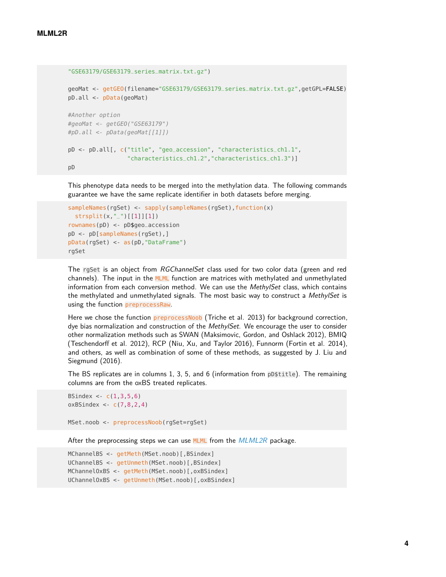```
"GSE63179/GSE63179_series_matrix.txt.gz")
geoMat <- getGEO(filename="GSE63179/GSE63179_series_matrix.txt.gz",getGPL=FALSE)
pD.all <- pData(geoMat)
#Another option
#geoMat <- getGEO("GSE63179")
#pD.all <- pData(geoMat[[1]])
pD <- pD.all[, c("title", "geo_accession", "characteristics_ch1.1",
                 "characteristics_ch1.2","characteristics_ch1.3")]
pD
```
This phenotype data needs to be merged into the methylation data. The following commands guarantee we have the same replicate identifier in both datasets before merging.

```
sampleNames(rgSet) <- sapply(sampleNames(rgSet),function(x)
 strsplit(x, "-")[[1]][1])rownames(pD) <- pD$geo_accession
pD <- pD[sampleNames(rgSet),]
pData(rgSet) <- as(pD,"DataFrame")
rgSet
```
The rgSet is an object from RGChannelSet class used for two color data (green and red channels). The input in the MLML function are matrices with methylated and unmethylated information from each conversion method. We can use the MethylSet class, which contains the methylated and unmethylated signals. The most basic way to construct a MethylSet is using the function preprocessRaw.

Here we chose the function preprocessNoob (Triche et al. 2013) for background correction, dye bias normalization and construction of the MethylSet. We encourage the user to consider other normalization methods such as SWAN (Maksimovic, Gordon, and Oshlack 2012), BMIQ (Teschendorff et al. 2012), RCP (Niu, Xu, and Taylor 2016), Funnorm (Fortin et al. 2014), and others, as well as combination of some of these methods, as suggested by J. Liu and Siegmund (2016).

The BS replicates are in columns 1, 3, 5, and 6 (information from pD\$title). The remaining columns are from the oxBS treated replicates.

```
BSindex \lt- c(1,3,5,6)oxBSindex <- c(7,8,2,4)
MSet.noob <- preprocessNoob(rgSet=rgSet)
```
After the preprocessing steps we can use  $MLML$  from the  $MLML2R$  package.

```
MChannelBS <- getMeth(MSet.noob)[, BSindex]
UChannelBS <- getUnmeth(MSet.noob)[, BSindex]
MChannelOxBS <- getMeth(MSet.noob) [, oxBSindex]
UChannelOxBS <- getUnmeth(MSet.noob)[,oxBSindex]
```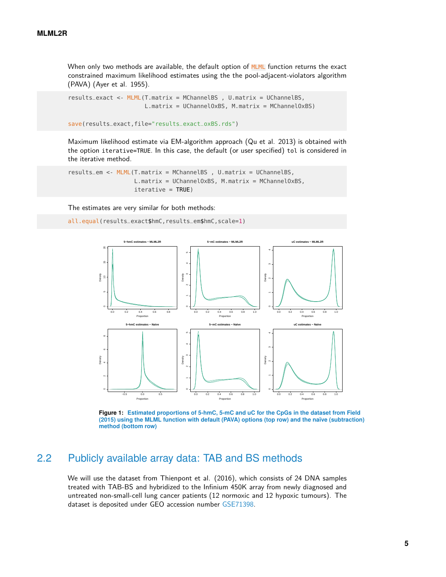When only two methods are available, the default option of MLML function returns the exact constrained maximum likelihood estimates using the the pool-adjacent-violators algorithm (PAVA) (Ayer et al. 1955).

```
results_exact <- MLML(T.matrix = MChannelBS , U.matrix = UChannelBS,
                      L.matrix = UChannelOxBS, M.matrix = MChannelOxBS)
```

```
save(results_exact,file="results_exact_oxBS.rds")
```
Maximum likelihood estimate via EM-algorithm approach (Qu et al. 2013) is obtained with the option iterative=TRUE. In this case, the default (or user specified) tol is considered in the iterative method.

```
results_em <- MLML(T.matrix = MChannelBS , U.matrix = UChannelBS,
                   L.matrix = UChannelOxBS, M.matrix = MChannelOxBS,
                   iterative = TRUE)
```
The estimates are very similar for both methods:

```
all.equal(results_exact$hmC,results_em$hmC,scale=1)
```


**Figure 1: Estimated proportions of 5-hmC, 5-mC and uC for the CpGs in the dataset from Field (2015) using the MLML function with default (PAVA) options (top row) and the naïve (subtraction) method (bottom row)**

### <span id="page-4-0"></span>2.2 Publicly available array data: TAB and BS methods

We will use the dataset from Thienpont et al. (2016), which consists of 24 DNA samples treated with TAB-BS and hybridized to the Infinium 450K array from newly diagnosed and untreated non-small-cell lung cancer patients (12 normoxic and 12 hypoxic tumours). The dataset is deposited under GEO accession number [GSE71398.](https://www.ncbi.nlm.nih.gov/geo/query/acc.cgi?acc=GSE71398)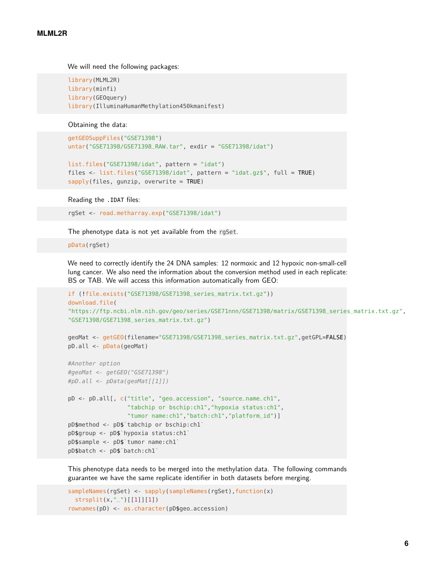We will need the following packages:

library(MLML2R) library(minfi) library(GEOquery) library(IlluminaHumanMethylation450kmanifest)

Obtaining the data:

```
getGEOSuppFiles("GSE71398")
untar("GSE71398/GSE71398_RAW.tar", exdir = "GSE71398/idat")
```

```
list.files("GSE71398/idat", pattern = "idat")
files <- list.files("GSE71398/idat", pattern = "idat.gz$", full = TRUE)
sapply(files, gunzip, overwrite = TRUE)
```
Reading the .IDAT files:

rgSet <- read.metharray.exp("GSE71398/idat")

The phenotype data is not yet available from the rgSet.

pData(rgSet)

We need to correctly identify the 24 DNA samples: 12 normoxic and 12 hypoxic non-small-cell lung cancer. We also need the information about the conversion method used in each replicate: BS or TAB. We will access this information automatically from GEO:

```
if (!file.exists("GSE71398/GSE71398_series_matrix.txt.gz"))
download.file(
"https://ftp.ncbi.nlm.nih.gov/geo/series/GSE71nnn/GSE71398/matrix/GSE71398_series_matrix.txt.gz",
"GSE71398/GSE71398_series_matrix.txt.gz")
```

```
geoMat <- getGEO(filename="GSE71398/GSE71398_series_matrix.txt.gz",getGPL=FALSE)
pD.all <- pData(geoMat)
```

```
#Another option
#geoMat <- getGEO("GSE71398")
#pD.all <- pData(geoMat[[1]])
pD <- pD.all[, c("title", "geo_accession", "source_name_ch1",
                 "tabchip or bschip:ch1","hypoxia status:ch1",
                 "tumor name:ch1","batch:ch1","platform_id")]
pD$method <- pD$`tabchip or bschip:ch1`
pD$group <- pD$`hypoxia status:ch1`
pD$sample <- pD$`tumor name:ch1`
pD$batch <- pD$`batch:ch1`
```
This phenotype data needs to be merged into the methylation data. The following commands guarantee we have the same replicate identifier in both datasets before merging.

```
sampleNames(rgSet) <- sapply(sampleNames(rgSet),function(x)
 strsplit(x,"_")[[1]][1])
rownames(pD) <- as.character(pD$geo_accession)
```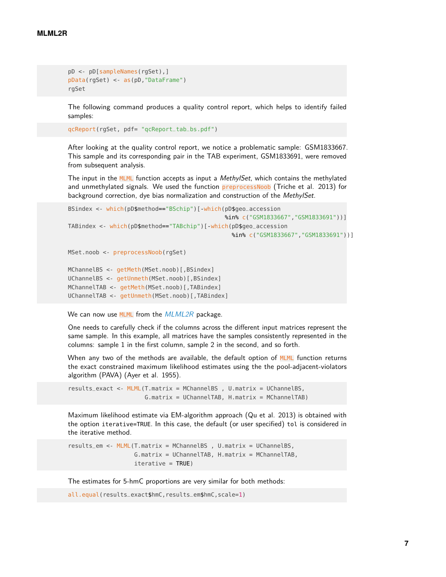```
pD <- pD[sampleNames(rgSet),]
pData(rgSet) <- as(pD,"DataFrame")
rgSet
```
The following command produces a quality control report, which helps to identify failed samples:

```
qcReport(rgSet, pdf= "qcReport_tab_bs.pdf")
```
After looking at the quality control report, we notice a problematic sample: GSM1833667. This sample and its corresponding pair in the TAB experiment, GSM1833691, were removed from subsequent analysis.

The input in the MLML function accepts as input a *MethylSet*, which contains the methylated and unmethylated signals. We used the function preprocessNoob (Triche et al. 2013) for background correction, dye bias normalization and construction of the MethylSet.

```
BSindex <- which(pD$method=="BSchip")[-which(pD$geo_accession
                                             %in% c("GSM1833667","GSM1833691"))]
TABindex <- which(pD$method=="TABchip")[-which(pD$geo_accession
                                               %in% c("GSM1833667","GSM1833691"))]
MSet.noob <- preprocessNoob(rgSet)
```

```
MChannelBS <- getMeth(MSet.noob)[, BSindex]
UChannelBS <- getUnmeth(MSet.noob)[, BSindex]
MChannelTAB <- getMeth(MSet.noob)[,TABindex]
UChannelTAB <- getUnmeth(MSet.noob)[,TABindex]
```
We can now use  $MLML$  from the  $MLML2R$  package.

One needs to carefully check if the columns across the different input matrices represent the same sample. In this example, all matrices have the samples consistently represented in the columns: sample 1 in the first column, sample 2 in the second, and so forth.

When any two of the methods are available, the default option of MLML function returns the exact constrained maximum likelihood estimates using the the pool-adjacent-violators algorithm (PAVA) (Ayer et al. 1955).

results\_exact <- MLML(T.matrix = MChannelBS , U.matrix = UChannelBS, G.matrix = UChannelTAB, H.matrix = MChannelTAB)

Maximum likelihood estimate via EM-algorithm approach (Qu et al. 2013) is obtained with the option iterative=TRUE. In this case, the default (or user specified) tol is considered in the iterative method.

results\_em <- MLML(T.matrix = MChannelBS , U.matrix = UChannelBS, G.matrix = UChannelTAB, H.matrix = MChannelTAB,  $iterative = TRUE$ )

The estimates for 5-hmC proportions are very similar for both methods:

all.equal(results\_exact\$hmC,results\_em\$hmC,scale=1)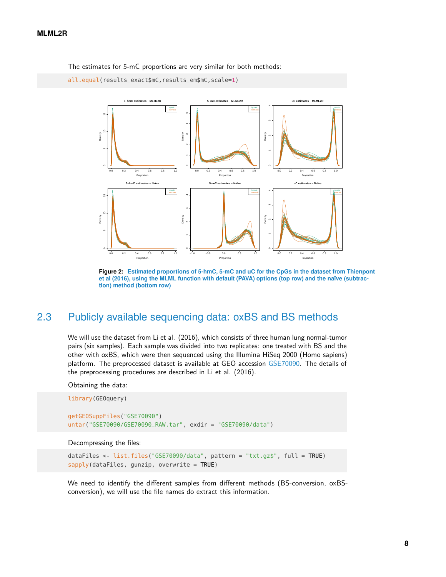The estimates for 5-mC proportions are very similar for both methods:

```
all.equal(results_exact$mC,results_em$mC,scale=1)
```


**Figure 2: Estimated proportions of 5-hmC, 5-mC and uC for the CpGs in the dataset from Thienpont et al (2016), using the MLML function with default (PAVA) options (top row) and the naïve (subtraction) method (bottom row)**

### <span id="page-7-0"></span>2.3 Publicly available sequencing data: oxBS and BS methods

We will use the dataset from Li et al. (2016), which consists of three human lung normal-tumor pairs (six samples). Each sample was divided into two replicates: one treated with BS and the other with oxBS, which were then sequenced using the Illumina HiSeq 2000 (Homo sapiens) platform. The preprocessed dataset is available at GEO accession [GSE70090.](https://www.ncbi.nlm.nih.gov/geo/query/acc.cgi?acc=GSE70090) The details of the preprocessing procedures are described in Li et al. (2016).

Obtaining the data:

library(GEOquery)

```
getGEOSuppFiles("GSE70090")
untar("GSE70090/GSE70090_RAW.tar", exdir = "GSE70090/data")
```
#### Decompressing the files:

```
dataFiles <- list.files("GSE70090/data", pattern = "txt.qz$", full = TRUE)
sapply(dataFiles, gunzip, overwrite = TRUE)
```
We need to identify the different samples from different methods (BS-conversion, oxBSconversion), we will use the file names do extract this information.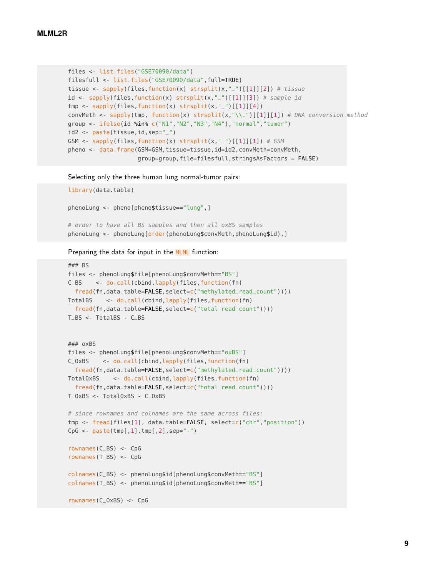```
files <- list.files("GSE70090/data")
filesfull <- list.files("GSE70090/data",full=TRUE)
tissue <- sapply(files, function(x) strsplit(x,"_")[[1]][2]) # tissue
id <- sapply(files, function(x) strsplit(x,"_")[[1]][3]) # sample id
tmp \leftarrow supply(files, function(x) straight(x, "-)][1][4])convMeth <- sapply(tmp, function(x) strsplit(x,"\\.")[[1]][1]) # DNA conversion method
group <- ifelse(id %in% c("N1","N2","N3","N4"),"normal","tumor")
id2 <- paste(tissue,id,sep="_")
GSM <- sapply(files, function(x) strsplit(x, "_")[[1]][1]) # GSM
pheno <- data.frame(GSM=GSM,tissue=tissue,id=id2,convMeth=convMeth,
                    group=group,file=filesfull,stringsAsFactors = FALSE)
```
Selecting only the three human lung normal-tumor pairs:

```
library(data.table)
phenoLung <- pheno[pheno$tissue=="lung",]
# order to have all BS samples and then all oxBS samples
phenoLung <- phenoLung[order(phenoLung$convMeth,phenoLung$id),]
```
Preparing the data for input in the **MLML** function:

```
### BS
files <- phenoLung$file[phenoLung$convMeth=="BS"]
C_BS <- do.call(cbind,lapply(files,function(fn)
  fread(fn,data.table=FALSE,select=c("methylated_read_count"))))
TotalBS <- do.call(cbind,lapply(files,function(fn)
 fread(fn,data.table=FALSE,select=c("total_read_count"))))
T_BS <- TotalBS - C_BS
### oxBS
files <- phenoLung$file[phenoLung$convMeth=="oxBS"]
C_OxBS <- do.call(cbind,lapply(files,function(fn)
  fread(fn,data.table=FALSE,select=c("methylated_read_count"))))
TotalOxBS <- do.call(cbind,lapply(files,function(fn)
  fread(fn,data.table=FALSE,select=c("total_read_count"))))
T_OxBS <- TotalOxBS - C_OxBS
# since rownames and colnames are the same across files:
tmp <- fread(files[1], data.table=FALSE, select=c("chr","position"))
CpG <- paste(tmp[,1],tmp[,2],sep='--")rownames(C_BS) <- CpG
rownames(T_BS) <- CpG
colnames(C_BS) <- phenoLung$id[phenoLung$convMeth=="BS"]
colnames(T_BS) <- phenoLung$id[phenoLung$convMeth=="BS"]
rownames(C_OxBS) <- CpG
```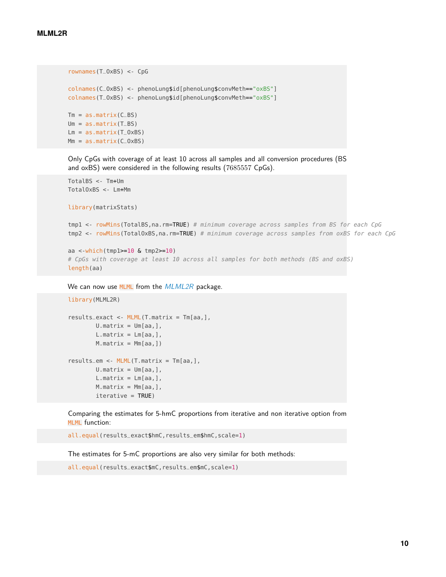```
rownames(T_OxBS) <- CpG
colnames(C_OxBS) <- phenoLung$id[phenoLung$convMeth=="oxBS"]
colnames(T_OxBS) <- phenoLung$id[phenoLung$convMeth=="oxBS"]
Tm = as.matrix(C_BS)Um = as_matrix(T_BS)Lm = as.matrix(T_0xBS)Mm = as.matrix(C_0xBS)
```
Only CpGs with coverage of at least 10 across all samples and all conversion procedures (BS and oxBS) were considered in the following results (7685557 CpGs).

```
TotalBS <- Tm+Um
TotalOxBS <- Lm+Mm
```
library(matrixStats)

library(MLML2R)

tmp1 <- rowMins(TotalBS, na. rm=TRUE) # minimum coverage across samples from BS for each CpG tmp2 <- rowMins(TotalOxBS, na.rm=TRUE) # minimum coverage across samples from oxBS for each CpG

```
aa <-which(tmp1>=10 & tmp2>=10)
# CpGs with coverage at least 10 across all samples for both methods (BS and oxBS)
length(aa)
```
We can now use MLML from the [MLML2R](https://CRAN.R-project.org/package=MLML2R) package.

```
results\_exact \leq MLML(T.matrix = Tm[aa,],U.matrix = Um[aa,],L.max = Lm[aa,],M.matrix = Mm[aa, ])results_em <- MLML(T.matrix = Tm[aa,],
       U.matrix = Um[aa,],L.matrix = Lm[aa,],M.matrix = Mm[aa,],iterative = TRUE)
```
Comparing the estimates for 5-hmC proportions from iterative and non iterative option from MLML function:

all.equal(results\_exact\$hmC,results\_em\$hmC,scale=1)

The estimates for 5-mC proportions are also very similar for both methods:

```
all.equal(results_exact$mC,results_em$mC,scale=1)
```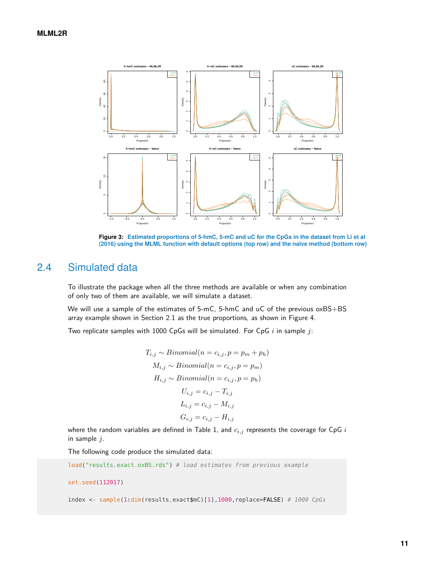

**Figure 3: Estimated proportions of 5-hmC, 5-mC and uC for the CpGs in the dataset from Li et al (2016) using the MLML function with default options (top row) and the naïve method (bottom row)**

### 2.4 Simulated data

To illustrate the package when all the three methods are available or when any combination of only two of them are available, we will simulate a dataset.

We will use a sample of the estimates of 5-mC, 5-hmC and uC of the previous  $\alpha$ xBS+BS array example shown in Section 2.1 as the true proportions, as shown in Figure 4.

Two replicate samples with 1000 CpGs will be simulated. For CpG *i* in sample *j*:

$$
T_{i,j} \sim Binomial(n = c_{i,j}, p = p_m + p_h)
$$
  
\n
$$
M_{i,j} \sim Binomial(n = c_{i,j}, p = p_m)
$$
  
\n
$$
H_{i,j} \sim Binomial(n = c_{i,j}, p = p_h)
$$
  
\n
$$
U_{i,j} = c_{i,j} - T_{i,j}
$$
  
\n
$$
L_{i,j} = c_{i,j} - M_{i,j}
$$
  
\n
$$
G_{i,j} = c_{i,j} - H_{i,j}
$$

where the random variables are defined in Table 1, and  $c_{i,j}$  represents the coverage for  $CpG$  *i* in sample *j*.

The following code produce the simulated data:

```
load("results_exact_oxBS.rds") # load estimates from previous example
set.seed(112017)
index <- sample(1.dim(results_exact$mC)[1],1000,replace=FALSE) # 1000 CpGs
```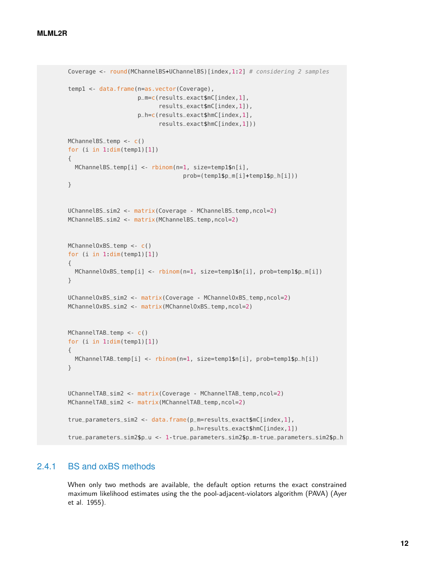```
Coverage <- round(MChannelBS+UChannelBS)[index,1:2] # considering 2 samples
temp1 <- data.frame(n=as.vector(Coverage),
                    p_m=c(results_exact$mC[index,1],
                          results_exact$mC[index,1]),
                    p_h=c(results_exact$hmC[index,1],
                          results_exact$hmC[index,1]))
MChannelBS_temp <- c()
for (i in 1 dim(temp1)[1]){
  MChannelBS_temp[i] <- rbinom(n=1, size=temp1$n[i],
                                 prob=(temp1$p_m[i]+temp1$p_h[i]))
}
UChannelBS_sim2 <- matrix(Coverage - MChannelBS_temp,ncol=2)
MChannelBS_sim2 <- matrix(MChannelBS_temp,ncol=2)
MChannelOxBS_temp <- c()
for (i in 1 dim(temp1)[1]){
  MChannelOxBS_temp[i] <- rbinom(n=1, size=temp1$n[i], prob=temp1$p_m[i])
}
UChannelOxBS_sim2 <- matrix(Coverage - MChannelOxBS_temp,ncol=2)
MChannelOxBS_sim2 <- matrix(MChannelOxBS_temp,ncol=2)
MChannelTAB_temp <- c()
for (i in 1:dim(temp1)[1])
{
  MChannelTAB_temp[i] <- rbinom(n=1, size=temp1$n[i], prob=temp1$p_h[i])
}
UChannelTAB_sim2 <- matrix(Coverage - MChannelTAB_temp,ncol=2)
MChannelTAB_sim2 <- matrix(MChannelTAB_temp,ncol=2)
true_parameters_sim2 <- data.frame(p_m=results_exact$mC[index,1],
                                   p_h=results_exact$hmC[index,1])
true_parameters_sim2$p_u <- 1-true_parameters_sim2$p_m-true_parameters_sim2$p_h
```
### 2.4.1 BS and oxBS methods

When only two methods are available, the default option returns the exact constrained maximum likelihood estimates using the the pool-adjacent-violators algorithm (PAVA) (Ayer et al. 1955).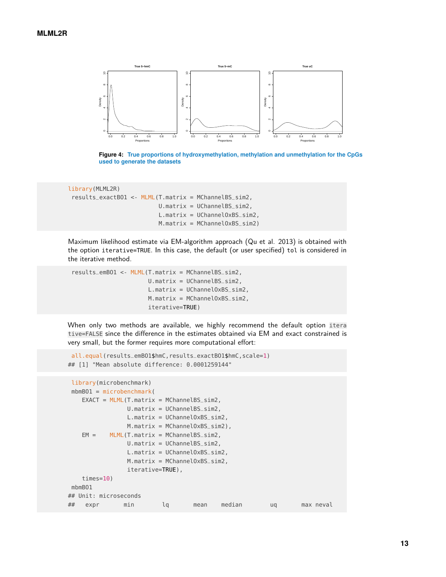

**Figure 4: True proportions of hydroxymethylation, methylation and unmethylation for the CpGs used to generate the datasets**

```
library(MLML2R)
results_exactBO1 <- MLML(T.matrix = MChannelBS_sim2,
                          U.matrix = UChannelBS_sim2,
                          L.matrix = UChannelOxBS_sim2,
                          M.matrix = MChannelOxBS_sim2)
```
Maximum likelihood estimate via EM-algorithm approach (Qu et al. 2013) is obtained with the option iterative=TRUE. In this case, the default (or user specified) tol is considered in the iterative method.

```
results_emBO1 <- MLML(T.matrix = MChannelBS_sim2,
                      U.matrix = UChannelBS_sim2,
                      L.matrix = UChannelOxBS_sim2,
                      M.matrix = MChannelOxBS_sim2,
                      iterative=TRUE)
```
When only two methods are available, we highly recommend the default option itera tive=FALSE since the difference in the estimates obtained via EM and exact constrained is very small, but the former requires more computational effort:

```
all.equal(results_emBO1$hmC,results_exactBO1$hmC,scale=1)
## [1] "Mean absolute difference: 0.0001259144"
```

```
library(microbenchmark)
mbmBO1 = microbenchmark(
   EXACT = MLML(T.matrix = MChannelBS_sim2,U.matrix = UChannelBS_sim2,
               L.matrix = UChannelOxBS_sim2,
               M.matrix = MChannelOxBS_sim2),
   EM = MLML(T.matrix = MChannelBS_sim2,U.matrix = UChannelBS_sim2,
               L.matrix = UChannelOxBS_sim2,
               M.matrix = MChannelOxBS_sim2,
               iterative=TRUE),
   times=10)
mbmBO1
## Unit: microseconds
## expr min lq mean median uq max neval
```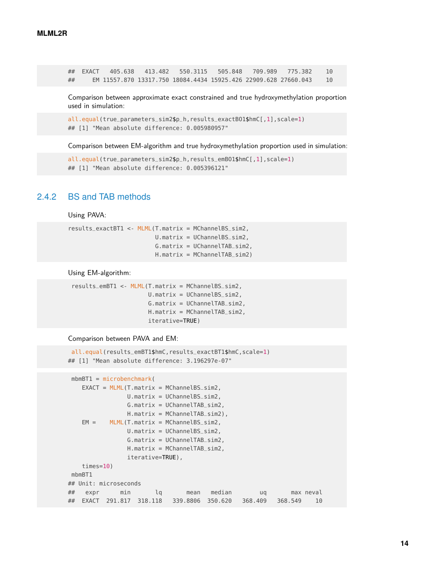## EXACT 405.638 413.482 550.3115 505.848 709.989 775.382 10 ## EM 11557.870 13317.750 18084.4434 15925.426 22909.628 27660.043 10

Comparison between approximate exact constrained and true hydroxymethylation proportion used in simulation:

```
all.equal(true_parameters_sim2$p_h,results_exactBO1$hmC[,1],scale=1)
## [1] "Mean absolute difference: 0.005980957"
```
Comparison between EM-algorithm and true hydroxymethylation proportion used in simulation:

```
all.equal(true_parameters_sim2$p_h,results_emB01$hmC[,1],scale=1)
## [1] "Mean absolute difference: 0.005396121"
```
#### 2.4.2 BS and TAB methods

Using PAVA:

```
results_exactBT1 <- MLML(T.matrix = MChannelBS_sim2,
                        U.matrix = UChannelBS_sim2,
                         G.matrix = UChannelTAB_sim2,
                         H.matrix = MChannelTAB_sim2)
```
Using EM-algorithm:

```
results_emBT1 <- MLML(T.matrix = MChannelBS_sim2,
                      U.matrix = UChannelBS_sim2,
                      G.matrix = UChannelTAB_sim2,
                      H.matrix = MChannelTAB_sim2,
                      iterative=TRUE)
```
Comparison between PAVA and EM:

```
all.equal(results_emBT1$hmC,results_exactBT1$hmC,scale=1)
## [1] "Mean absolute difference: 3.196297e-07"
```

```
mbmBT1 = microbenchmark(
   EXACT = MLML(T.matrix = MChannelBS_sim2,U.matrix = UChannelBS_sim2,
               G.matrix = UChannelTAB_sim2,
               H.matrix = MChannelTAB_sim2),
   EM = MLML(T.matrix = MChannelBS_sim2,U.matrix = UChannelBS_sim2,
               G.matrix = UChannelTAB_sim2,
               H.matrix = MChannelTAB_sim2,
               iterative=TRUE),
   times=10)
mbmBT1
## Unit: microseconds
## expr min lq mean median uq max neval
## EXACT 291.817 318.118 339.8806 350.620 368.409 368.549 10
```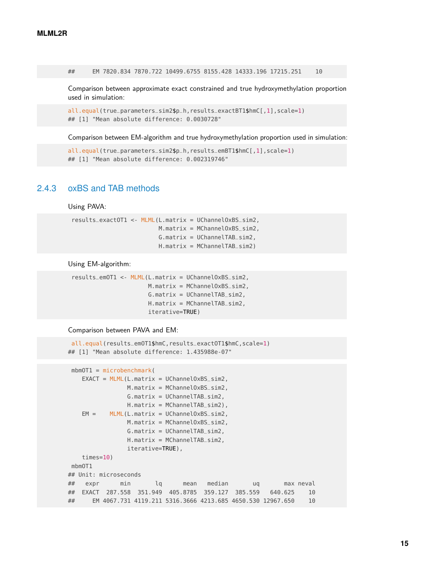## EM 7820.834 7870.722 10499.6755 8155.428 14333.196 17215.251 10

Comparison between approximate exact constrained and true hydroxymethylation proportion used in simulation:

```
all.equal(true_parameters_sim2$p_h,results_exactBT1$hmC[,1],scale=1)
## [1] "Mean absolute difference: 0.0030728"
```
Comparison between EM-algorithm and true hydroxymethylation proportion used in simulation:

```
all.equal(true_parameters_sim2$p_h,results_emBT1$hmC[,1],scale=1)
## [1] "Mean absolute difference: 0.002319746"
```
### 2.4.3 oxBS and TAB methods

Using PAVA:

```
results_exactOT1 <- MLML(L.matrix = UChannelOxBS_sim2,
                         M.matrix = MChannelOxBS_sim2,
                         G.matrix = UChannelTAB_sim2,
                         H.matrix = MChannelTAB_sim2)
```
Using EM-algorithm:

```
results_emOT1 <- MLML(L.matrix = UChannelOxBS_sim2,
                      M.matrix = MChannelOxBS_sim2,
                      G.matrix = UChannelTAB_sim2,
                      H.matrix = MChannelTAB_sim2,
                      iterative=TRUE)
```
Comparison between PAVA and EM:

```
all.equal(results_emOT1$hmC,results_exactOT1$hmC,scale=1)
## [1] "Mean absolute difference: 1.435988e-07"
```

```
mbmOT1 = microbenchmark(
   EXACT = MLML(L_matrix = UChannelOxBS_sim2,M.matrix = MChannelOxBS_sim2,
               G.matrix = UChannelTAB_sim2,
               H.matrix = MChannelTAB_sim2),
   EM = MLML(L.matrix = UChannelOxBS_sim2,
               M.matrix = MChannelOxBS_sim2,
               G.matrix = UChannelTAB_sim2,
               H.matrix = MChannelTAB_sim2,
               iterative=TRUE),
   times=10)
mbmOT1
## Unit: microseconds
## expr min lq mean median uq max neval
## EXACT 287.558 351.949 405.8785 359.127 385.559 640.625 10
## EM 4067.731 4119.211 5316.3666 4213.685 4650.530 12967.650 10
```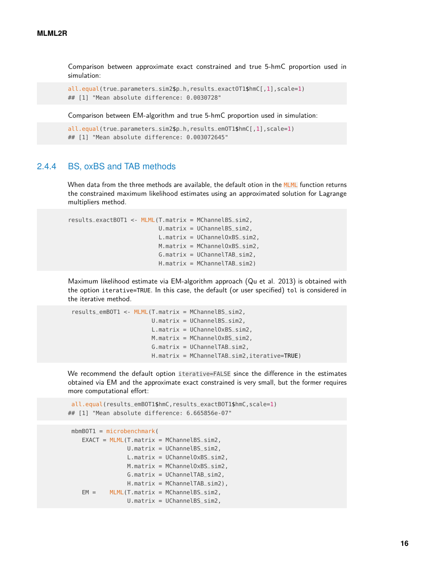Comparison between approximate exact constrained and true 5-hmC proportion used in simulation:

```
all.equal(true_parameters_sim2$p_h,results_exact0T1$hmC[,1],scale=1)
## [1] "Mean absolute difference: 0.0030728"
```
Comparison between EM-algorithm and true 5-hmC proportion used in simulation:

```
all.equal(true_parameters_sim2$p_h,results_emOT1$hmC[,1],scale=1)
## [1] "Mean absolute difference: 0.003072645"
```
### 2.4.4 BS, oxBS and TAB methods

When data from the three methods are available, the default otion in the MLML function returns the constrained maximum likelihood estimates using an approximated solution for Lagrange multipliers method.

```
results_exactBOT1 <- MLML(T.matrix = MChannelBS_sim2,
                          U.matrix = UChannelBS_sim2,
                          L.matrix = UChannelOxBS_sim2,
                          M.matrix = MChannelOxBS_sim2,
                          G.matrix = UChannelTAB_sim2,
                          H.matrix = MChannelTAB_sim2)
```
Maximum likelihood estimate via EM-algorithm approach (Qu et al. 2013) is obtained with the option iterative=TRUE. In this case, the default (or user specified) tol is considered in the iterative method.

```
results_emBOT1 <- MLML(T.matrix = MChannelBS_sim2,
                       U.matrix = UChannelBS_sim2,
                       L.matrix = UChannelOxBS_sim2,
                       M.matrix = MChannelOxBS_sim2,
                       G.matrix = UChannelTAB_sim2,
                       H.matrix = MChannelTAB_sim2,iterative=TRUE)
```
We recommend the default option iterative=FALSE since the difference in the estimates obtained via EM and the approximate exact constrained is very small, but the former requires more computational effort:

```
all.equal(results_emBOT1$hmC,results_exactBOT1$hmC,scale=1)
## [1] "Mean absolute difference: 6.665856e-07"
```

```
mbmBOT1 = microbenchmark(
  EXACT = MLML(T.matrix = MChannelBS_sim2,U.matrix = UChannelBS_sim2,
                L.matrix = UChannelOxBS_sim2,
               M.matrix = MChannelOxBS_sim2,
                G.matrix = UChannelTAB_sim2,
               H.matrix = MChannelTAB_sim2),
  EM = MLML(T.matrix = MChannelBS_sim2,U.matrix = UChannelBS_sim2,
```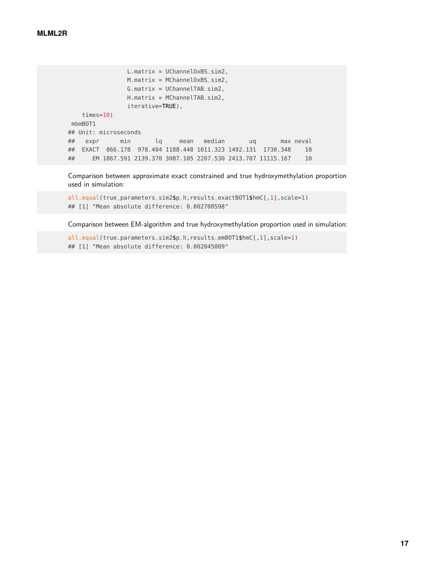```
L.matrix = UChannelOxBS_sim2,
               M.matrix = MChannelOxBS_sim2,
               G.matrix = UChannelTAB_sim2,
              H.matrix = MChannelTAB_sim2,
              iterative=TRUE),
   times=10)
mbmBOT1
## Unit: microseconds
## expr min lq mean median uq max neval
## EXACT 866.178 978.404 1188.448 1011.323 1492.131 1730.348 10
## EM 1867.591 2139.370 3087.105 2207.530 2413.707 11115.167 10
```
Comparison between approximate exact constrained and true hydroxymethylation proportion used in simulation:

all.equal(true\_parameters\_sim2\$p\_h,results\_exactBOT1\$hmC[,1],scale=1) ## [1] "Mean absolute difference: 0.002708598"

Comparison between EM-algorithm and true hydroxymethylation proportion used in simulation:

all.equal(true\_parameters\_sim2\$p\_h,results\_emBOT1\$hmC[,1],scale=1) ## [1] "Mean absolute difference: 0.002045009"